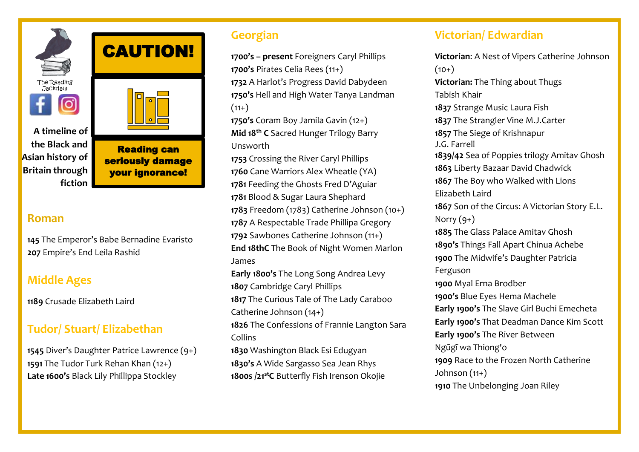

**A timeline of the Black and Asian history of Britain through fiction**

Reading can seriously damage your ignorance!

CAUTION!

#### **Roman**

**145** The Emperor's Babe Bernadine Evaristo **207** Empire's End Leila Rashid

# **Middle Ages**

**1189** Crusade Elizabeth Laird

# **Tudor/ Stuart/ Elizabethan**

**1545** Diver's Daughter Patrice Lawrence (9+) **1591** The Tudor Turk Rehan Khan (12+) **Late 1600's** Black Lily Phillippa Stockley

### **Georgian**

**1700's – present** Foreigners Caryl Phillips **1700's** Pirates Celia Rees (11+) **1732** A Harlot's Progress David Dabydeen **1750's** Hell and High Water Tanya Landman  $(11+)$ 

**1750's** Coram Boy Jamila Gavin (12+) **Mid 18th C** Sacred Hunger Trilogy Barry Unsworth

 Crossing the River Caryl Phillips Cane Warriors Alex Wheatle (YA) Feeding the Ghosts Fred D'Aguiar Blood & Sugar Laura Shephard Freedom (1783) Catherine Johnson (10+) A Respectable Trade Phillipa Gregory Sawbones Catherine Johnson (11+) **End 18thC** The Book of Night Women Marlon James

**Early 1800's** The Long Song Andrea Levy **1807** Cambridge Caryl Phillips **1817** The Curious Tale of The Lady Caraboo Catherine Johnson (14+) **1826** The Confessions of Frannie Langton Sara

Collins

**1830** Washington Black Esi Edugyan **1830's** A Wide Sargasso Sea Jean Rhys **1800s /21stC** Butterfly Fish Irenson Okojie

## **Victorian/ Edwardian**

**Victorian**: A Nest of Vipers Catherine Johnson  $(10+)$ **Victorian:** The Thing about Thugs [Tabish Khair](https://www.goodreads.com/author/show/63237.Tabish_Khair) **1837** Strange Music Laura Fish **1837** The Strangler Vine M.J.Carter **1857** The Siege of Krishnapur [J.G. Farrell](https://www.goodreads.com/author/show/1417512.J_G_Farrell) **1839/42** Sea of Poppies trilogy Amitav Ghosh **1863** Liberty Bazaar David Chadwick **1867** The Boy who Walked with Lions Elizabeth Laird **1867** Son of the Circus: A Victorian Story E.L. Norry  $(9+)$ **1885** The Glass Palace Amitav Ghosh **1890's** Things Fall Apart [Chinua Achebe](https://en.wikipedia.org/wiki/Chinua_Achebe) **1900** The Midwife's Daughter Patricia Ferguson **1900** Myal Erna Brodber **1900's** Blue Eyes Hema Machele **Early 1900's** The Slave Girl Buchi Emecheta **Early 1900's** That Deadman Dance Kim Scott **Early 1900's** The River Between Ngũgĩ wa Thiong'o **1909** Race to the Frozen North Catherine Johnson (11+) **1910** The Unbelonging Joan Riley